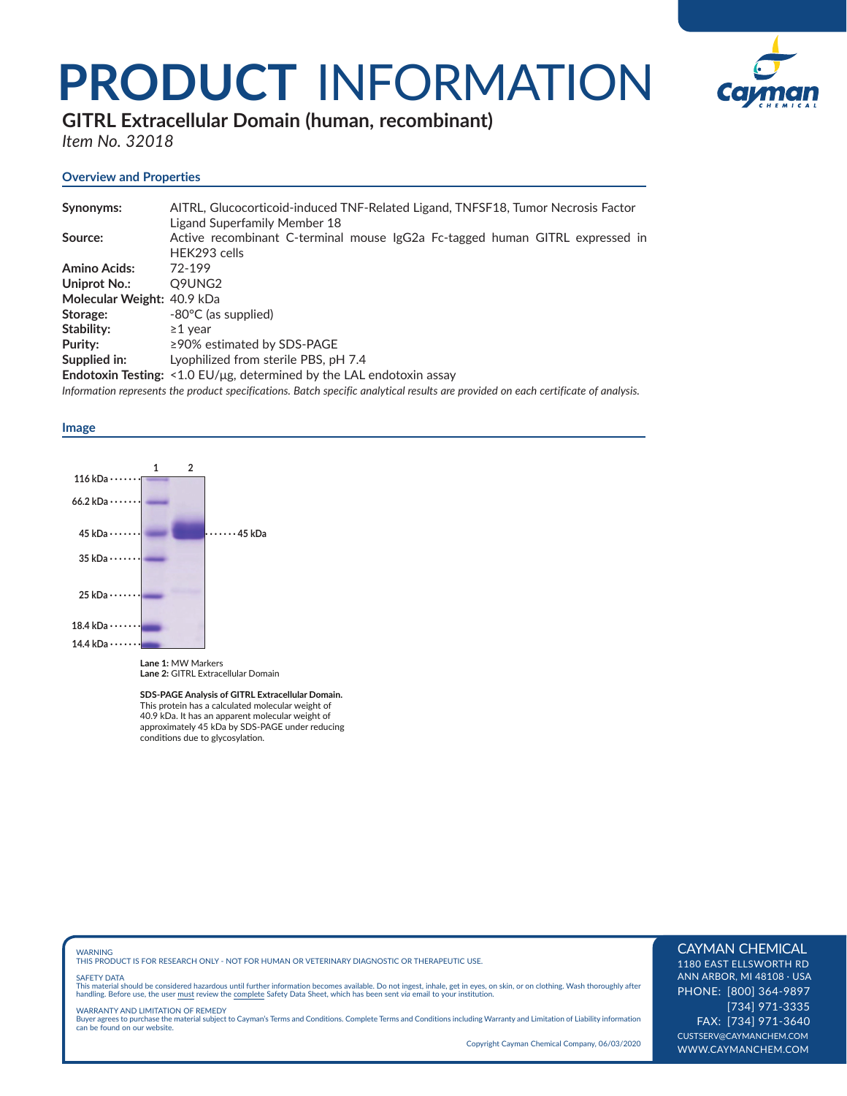## **PRODUCT** INFORMATION



**GITRL Extracellular Domain (human, recombinant)** 

*Item No. 32018*

### **Overview and Properties**

| Synonyms:                  | AITRL, Glucocorticoid-induced TNF-Related Ligand, TNFSF18, Tumor Necrosis Factor                                                   |
|----------------------------|------------------------------------------------------------------------------------------------------------------------------------|
|                            | Ligand Superfamily Member 18                                                                                                       |
| Source:                    | Active recombinant C-terminal mouse IgG2a Fc-tagged human GITRL expressed in                                                       |
|                            | HEK293 cells                                                                                                                       |
| <b>Amino Acids:</b>        | 72-199                                                                                                                             |
| Uniprot No.:               | Q9UNG2                                                                                                                             |
| Molecular Weight: 40.9 kDa |                                                                                                                                    |
| Storage:                   | $-80^{\circ}$ C (as supplied)                                                                                                      |
| Stability:                 | $\geq$ 1 vear                                                                                                                      |
| Purity:                    | $\geq$ 90% estimated by SDS-PAGE                                                                                                   |
| Supplied in:               | Lyophilized from sterile PBS, pH 7.4                                                                                               |
|                            | <b>Endotoxin Testing:</b> $\leq$ 1.0 EU/µg, determined by the LAL endotoxin assay                                                  |
|                            | Information represents the product specifications. Batch specific analytical results are provided on each certificate of analysis. |

**Image** 



**SDS-PAGE Analysis of GITRL Extracellular Domain.** This protein has a calculated molecular weight of 40.9 kDa. It has an apparent molecular weight of approximately 45 kDa by SDS-PAGE under reducing conditions due to glycosylation.

WARNING THIS PRODUCT IS FOR RESEARCH ONLY - NOT FOR HUMAN OR VETERINARY DIAGNOSTIC OR THERAPEUTIC USE.

#### SAFETY DATA

This material should be considered hazardous until further information becomes available. Do not ingest, inhale, get in eyes, on skin, or on clothing. Wash thoroughly after<br>handling. Before use, the user must review the co

WARRANTY AND LIMITATION OF REMEDY Buyer agrees to purchase the material subject to Cayman's Terms and Conditions. Complete Terms and Conditions including Warranty and Limitation of Liability information can be found on our website.

Copyright Cayman Chemical Company, 06/03/2020

#### CAYMAN CHEMICAL

1180 EAST ELLSWORTH RD ANN ARBOR, MI 48108 · USA PHONE: [800] 364-9897 [734] 971-3335 FAX: [734] 971-3640 CUSTSERV@CAYMANCHEM.COM WWW.CAYMANCHEM.COM